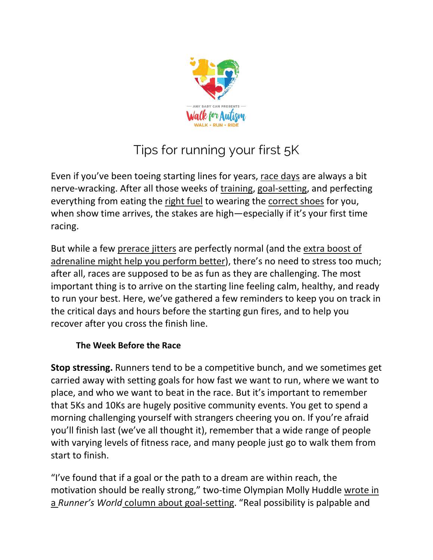

# Tips for running your first 5K

Even if you've been toeing starting lines for years, [race days](https://www.runnersworld.com/races-places/a20864800/marathon-calendar-0/) are always a bit nerve-wracking. After all those weeks of [training,](https://www.runnersworld.com/training/) [goal-setting,](https://www.runnersworld.com/runners-stories/a20853240/how-to-set-good-running-goals/) and perfecting everything from eating the [right fuel](https://www.runnersworld.com/nutrition-weight-loss/a25908457/carbs-before-workout/) to wearing the [correct shoes](https://www.runnersworld.com/gear/a19663621/best-running-shoes/) for you, when show time arrives, the stakes are high—especially if it's your first time racing.

But while a few [prerace jitters](https://www.runnersworld.com/runners-stories/a24554855/embrace-pre-marathon-nerves/) are perfectly normal (and the [extra boost of](https://www.runnersworld.com/training/a20851505/how-to-achieve-a-runners-high/)  [adrenaline might help you perform better\)](https://www.runnersworld.com/training/a20851505/how-to-achieve-a-runners-high/), there's no need to stress too much; after all, races are supposed to be as fun as they are challenging. The most important thing is to arrive on the starting line feeling calm, healthy, and ready to run your best. Here, we've gathered a few reminders to keep you on track in the critical days and hours before the starting gun fires, and to help you recover after you cross the finish line.

#### **The Week Before the Race**

**Stop stressing.** Runners tend to be a competitive bunch, and we sometimes get carried away with setting goals for how fast we want to run, where we want to place, and who we want to beat in the race. But it's important to remember that 5Ks and 10Ks are hugely positive community events. You get to spend a morning challenging yourself with strangers cheering you on. If you're afraid you'll finish last (we've all thought it), remember that a wide range of people with varying levels of fitness race, and many people just go to walk them from start to finish.

"I've found that if a goal or the path to a dream are within reach, the motivation should be really strong," two-time Olympian Molly Huddle [wrote in](https://www.runnersworld.com/training/a25801009/set-goals-the-molly-huddle-way/)  a *Runner's World* [column about goal-setting.](https://www.runnersworld.com/training/a25801009/set-goals-the-molly-huddle-way/) "Real possibility is palpable and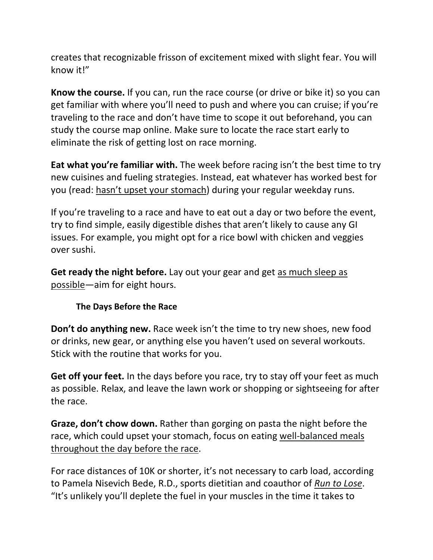creates that recognizable frisson of excitement mixed with slight fear. You will know it!"

**Know the course.** If you can, run the race course (or drive or bike it) so you can get familiar with where you'll need to push and where you can cruise; if you're traveling to the race and don't have time to scope it out beforehand, you can study the course map online. Make sure to locate the race start early to eliminate the risk of getting lost on race morning.

**Eat what you're familiar with.** The week before racing isn't the best time to try new cuisines and fueling strategies. Instead, eat whatever has worked best for you (read: [hasn't upset your stomach\)](https://www.runnersworld.com/nutrition-weight-loss/a27020321/runners-trots/) during your regular weekday runs.

If you're traveling to a race and have to eat out a day or two before the event, try to find simple, easily digestible dishes that aren't likely to cause any GI issues. For example, you might opt for a rice bowl with chicken and veggies over sushi.

**Get ready the night before.** Lay out your gear and get [as much sleep as](https://www.runnersworld.com/health-injuries/g20865801/how-much-sleep-do-you-need/)  [possible—](https://www.runnersworld.com/health-injuries/g20865801/how-much-sleep-do-you-need/)aim for eight hours.

## **The Days Before the Race**

**Don't do anything new.** Race week isn't the time to try new shoes, new food or drinks, new gear, or anything else you haven't used on several workouts. Stick with the routine that works for you.

**Get off your feet.** In the days before you race, try to stay off your feet as much as possible. Relax, and leave the lawn work or shopping or sightseeing for after the race.

**Graze, don't chow down.** Rather than gorging on pasta the night before the race, which could upset your stomach, focus on eating [well-balanced meals](https://www.runnersworld.com/training/a20862999/fueling-dos-and-donts-the-day-before/)  [throughout the day before the race.](https://www.runnersworld.com/training/a20862999/fueling-dos-and-donts-the-day-before/)

For race distances of 10K or shorter, it's not necessary to carb load, according to Pamela Nisevich Bede, R.D., sports dietitian and coauthor of *[Run to Lose](https://www.amazon.com/Runners-World-Run-Lose-Complete/dp/1623365996?tag=runnersworld-auto-20&ascsubtag=%5bartid|2142.a.20796964%5bsrc|%5bch|%5blt|)*. "It's unlikely you'll deplete the fuel in your muscles in the time it takes to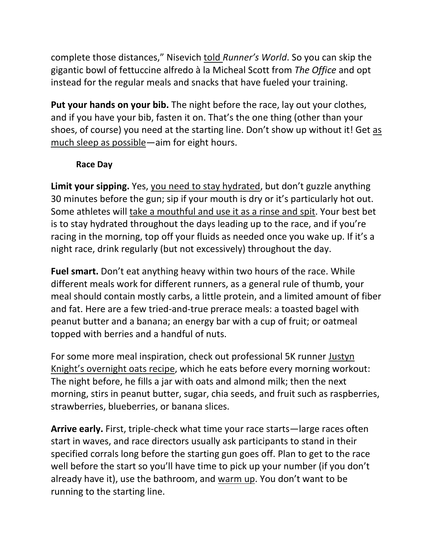complete those distances," Nisevich told *[Runner's World](https://www.runnersworld.com/nutrition-weight-loss/a20826888/the-right-way-to-carbo-load-before-a-race/)*. So you can skip the gigantic bowl of fettuccine alfredo à la Micheal Scott from *The Office* and opt instead for the regular meals and snacks that have fueled your training.

**Put your hands on your bib.** The night before the race, lay out your clothes, and if you have your bib, fasten it on. That's the one thing (other than your shoes, of course) you need at the starting line. Don't show up without it! Get [as](https://www.runnersworld.com/health-injuries/g20865801/how-much-sleep-do-you-need/)  [much sleep as possible—](https://www.runnersworld.com/health-injuries/g20865801/how-much-sleep-do-you-need/)aim for eight hours.

## **Race Day**

**Limit your sipping.** Yes, [you need to stay hydrated,](https://www.runnersworld.com/training/a23842628/heres-the-worlds-simplest-hydration-plan/) but don't guzzle anything 30 minutes before the gun; sip if your mouth is dry or it's particularly hot out. Some athletes will [take a mouthful and use it as a rinse and spit.](https://www.runnersworld.com/news/a20865117/use-this-drink-trick-to-finish-strong/) Your best bet is to stay hydrated throughout the days leading up to the race, and if you're racing in the morning, top off your fluids as needed once you wake up. If it's a night race, drink regularly (but not excessively) throughout the day.

**Fuel smart.** Don't eat anything heavy within two hours of the race. While different meals work for different runners, as a general rule of thumb, your meal should contain mostly carbs, a little protein, and a limited amount of fiber and fat. Here are a few tried-and-true prerace meals: a toasted bagel with peanut butter and a banana; an energy bar with a cup of fruit; or oatmeal topped with berries and a handful of nuts.

For some more meal inspiration, check out professional 5K runner [Justyn](https://www.runnersworld.com/runners-stories/a27510143/justyn-knight-morning-routine/?utm_medium=social-media&utm_source=facebook&utm_campaign=socialflowFBRW&fbclid=IwAR1-JD1K_Ug4WT3duanFa89NITBDCMQQFmSyb2U01esfA_26jpEm8pqodKk)  [Knight's overnight oats recipe,](https://www.runnersworld.com/runners-stories/a27510143/justyn-knight-morning-routine/?utm_medium=social-media&utm_source=facebook&utm_campaign=socialflowFBRW&fbclid=IwAR1-JD1K_Ug4WT3duanFa89NITBDCMQQFmSyb2U01esfA_26jpEm8pqodKk) which he eats before every morning workout: The night before, he fills a jar with oats and almond milk; then the next morning, stirs in peanut butter, sugar, chia seeds, and fruit such as raspberries, strawberries, blueberries, or banana slices.

**Arrive early.** First, triple-check what time your race starts—large races often start in waves, and race directors usually ask participants to stand in their specified corrals long before the starting gun goes off. Plan to get to the race well before the start so you'll have time to pick up your number (if you don't already have it), use the bathroom, and [warm up.](https://www.runnersworld.com/training/a20865088/pre-run-warmup/) You don't want to be running to the starting line.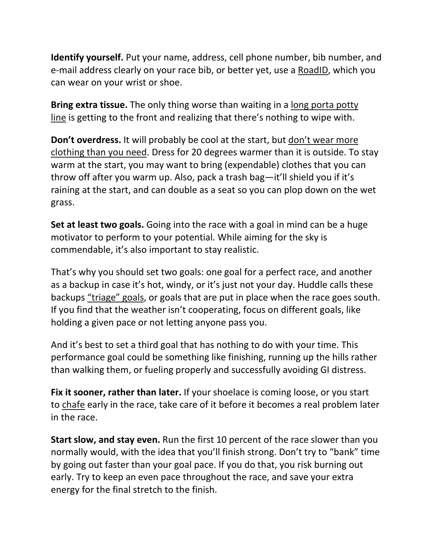**Identify yourself.** Put your name, address, cell phone number, bib number, and e-mail address clearly on your race bib, or better yet, use a [RoadID,](https://www.amazon.com/Road-ID-Bracelet-Wristband-Identification/dp/B07PDHDH9L?tag=runnersworld-auto-20&ascsubtag=%5bartid|2142.a.20796964%5bsrc|%5bch|%5blt|) which you can wear on your wrist or shoe.

**Bring extra tissue.** The only thing worse than waiting in a [long porta potty](https://www.runnersworld.com/races-places/a20851202/answers-to-your-biggest-porta-potty-questions/)  [line](https://www.runnersworld.com/races-places/a20851202/answers-to-your-biggest-porta-potty-questions/) is getting to the front and realizing that there's nothing to wipe with.

**Don't overdress.** It will probably be cool at the start, but [don't wear more](https://www.runnersworld.com/training/a20803133/what-to-wear/)  [clothing than you need.](https://www.runnersworld.com/training/a20803133/what-to-wear/) Dress for 20 degrees warmer than it is outside. To stay warm at the start, you may want to bring (expendable) clothes that you can throw off after you warm up. Also, pack a trash bag—it'll shield you if it's raining at the start, and can double as a seat so you can plop down on the wet grass.

**Set at least two goals.** Going into the race with a goal in mind can be a huge motivator to perform to your potential. While aiming for the sky is commendable, it's also important to stay realistic.

That's why you should set two goals: one goal for a perfect race, and another as a backup in case it's hot, windy, or it's just not your day. Huddle calls these backups ["triage" goals,](https://www.runnersworld.com/news/a20813924/molly-huddles-5-tips-for-running-a-great-10k/) or goals that are put in place when the race goes south. If you find that the weather isn't cooperating, focus on different goals, like holding a given pace or not letting anyone pass you.

And it's best to set a third goal that has nothing to do with your time. This performance goal could be something like finishing, running up the hills rather than walking them, or fueling properly and successfully avoiding GI distress.

**Fix it sooner, rather than later.** If your shoelace is coming loose, or you start to [chafe](https://www.runnersworld.com/health-injuries/a20804421/how-to-prevent-treat-chafing/) early in the race, take care of it before it becomes a real problem later in the race.

**Start slow, and stay even.** Run the first 10 percent of the race slower than you normally would, with the idea that you'll finish strong. Don't try to "bank" time by going out faster than your goal pace. If you do that, you risk burning out early. Try to keep an even pace throughout the race, and save your extra energy for the final stretch to the finish.